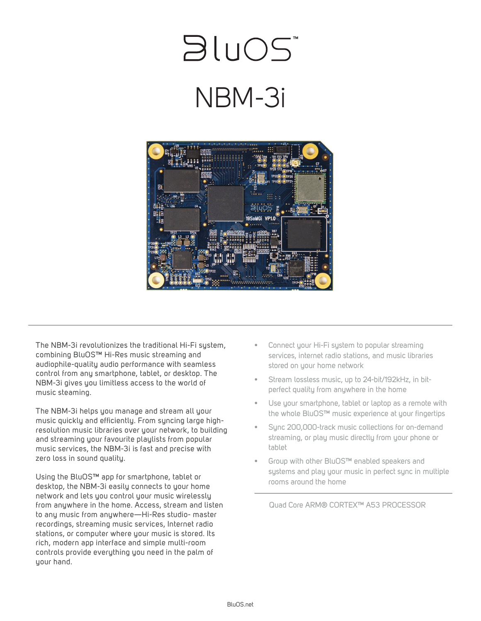



The NBM-3i revolutionizes the traditional Hi-Fi system, combining BluOS™ Hi-Res music streaming and audiophile-quality audio performance with seamless control from any smartphone, tablet, or desktop. The NBM-3i gives you limitless access to the world of music steaming.

The NBM-3i helps you manage and stream all your music quickly and efficiently. From syncing large highresolution music libraries over your network, to building and streaming your favourite playlists from popular music services, the NBM-3i is fast and precise with zero loss in sound quality.

Using the BluOS™ app for smartphone, tablet or desktop, the NBM-3i easily connects to your home network and lets you control your music wirelessly from anywhere in the home. Access, stream and listen to any music from anywhere—Hi-Res studio- master recordings, streaming music services, Internet radio stations, or computer where your music is stored. Its rich, modern app interface and simple multi-room controls provide everything you need in the palm of your hand.

- Connect your Hi-Fi system to popular streaming services, internet radio stations, and music libraries stored on your home network
- Stream lossless music, up to 24-bit/192kHz, in bitperfect quality from anywhere in the home
- Use your smartphone, tablet or laptop as a remote with the whole BluOS™ music experience at your fingertips
- Sync 200,000-track music collections for on-demand streaming, or play music directly from your phone or tablet
- Group with other BluOS™ enabled speakers and systems and play your music in perfect sync in multiple rooms around the home

Quad Core ARM® CORTEX™ A53 PROCESSOR